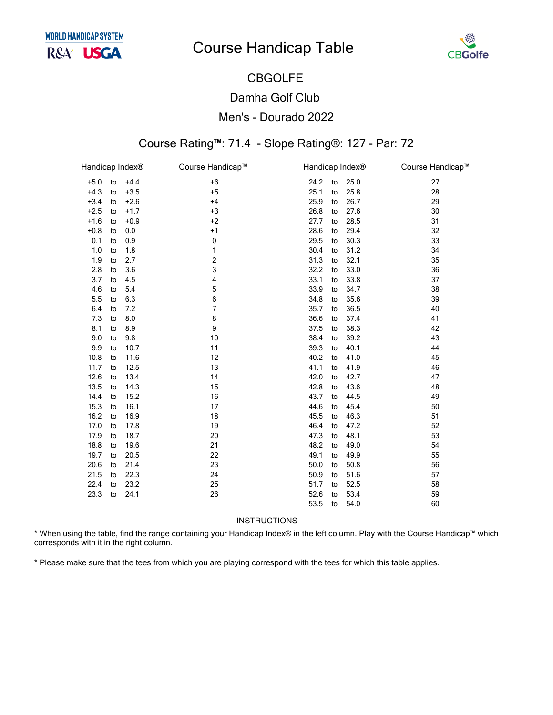

## **CBGOLFE Damha Golf Club** Men's - Dourado 2022

### Course Rating™: 71.4 - Slope Rating®: 127 - Par: 72

| Handicap Index® |    |        | Course Handicap™        | Handicap Index® |      | Course Handicap™ |
|-----------------|----|--------|-------------------------|-----------------|------|------------------|
| $+5.0$          | to | $+4.4$ | $+6$                    | 24.2<br>to      | 25.0 | 27               |
| $+4.3$          | to | $+3.5$ | $+5$                    | 25.1<br>to      | 25.8 | 28               |
| $+3.4$          | to | $+2.6$ | $+4$                    | 25.9<br>to      | 26.7 | 29               |
| $+2.5$          | to | $+1.7$ | $+3$                    | 26.8<br>to      | 27.6 | 30               |
| $+1.6$          | to | $+0.9$ | $+2$                    | 27.7<br>to      | 28.5 | 31               |
| $+0.8$          | to | 0.0    | $+1$                    | 28.6<br>to      | 29.4 | 32               |
| 0.1             | to | 0.9    | 0                       | 29.5<br>to      | 30.3 | 33               |
| 1.0             | to | 1.8    | 1                       | 30.4<br>to      | 31.2 | 34               |
| 1.9             | to | 2.7    | $\overline{\mathbf{c}}$ | 31.3<br>to      | 32.1 | 35               |
| 2.8             | to | 3.6    | 3                       | 32.2<br>to      | 33.0 | 36               |
| 3.7             | to | 4.5    | 4                       | 33.1<br>to      | 33.8 | 37               |
| 4.6             | to | 5.4    | 5                       | 33.9<br>to      | 34.7 | 38               |
| 5.5             | to | 6.3    | 6                       | 34.8<br>to      | 35.6 | 39               |
| 6.4             | to | 7.2    | 7                       | 35.7<br>to      | 36.5 | 40               |
| 7.3             | to | 8.0    | 8                       | 36.6<br>to      | 37.4 | 41               |
| 8.1             | to | 8.9    | 9                       | 37.5<br>to      | 38.3 | 42               |
| 9.0             | to | 9.8    | 10                      | 38.4<br>to      | 39.2 | 43               |
| 9.9             | to | 10.7   | 11                      | 39.3<br>to      | 40.1 | 44               |
| 10.8            | to | 11.6   | 12                      | 40.2<br>to      | 41.0 | 45               |
| 11.7            | to | 12.5   | 13                      | 41.1<br>to      | 41.9 | 46               |
| 12.6            | to | 13.4   | 14                      | 42.0<br>to      | 42.7 | 47               |
| 13.5            | to | 14.3   | 15                      | 42.8<br>to      | 43.6 | 48               |
| 14.4            | to | 15.2   | 16                      | 43.7<br>to      | 44.5 | 49               |
| 15.3            | to | 16.1   | 17                      | 44.6<br>to      | 45.4 | 50               |
| 16.2            | to | 16.9   | 18                      | 45.5<br>to      | 46.3 | 51               |
| 17.0            | to | 17.8   | 19                      | 46.4<br>to      | 47.2 | 52               |
| 17.9            | to | 18.7   | 20                      | 47.3<br>to      | 48.1 | 53               |
| 18.8            | to | 19.6   | 21                      | 48.2<br>to      | 49.0 | 54               |
| 19.7            | to | 20.5   | 22                      | 49.1<br>to      | 49.9 | 55               |
| 20.6            | to | 21.4   | 23                      | 50.0<br>to      | 50.8 | 56               |
| 21.5            | to | 22.3   | 24                      | 50.9<br>to      | 51.6 | 57               |
| 22.4            | to | 23.2   | 25                      | 51.7<br>to      | 52.5 | 58               |
| 23.3            | to | 24.1   | 26                      | 52.6<br>to      | 53.4 | 59               |
|                 |    |        |                         | 53.5<br>to      | 54.0 | 60               |

**INSTRUCTIONS** 

\* When using the table, find the range containing your Handicap Index® in the left column. Play with the Course Handicap™ which corresponds with it in the right column.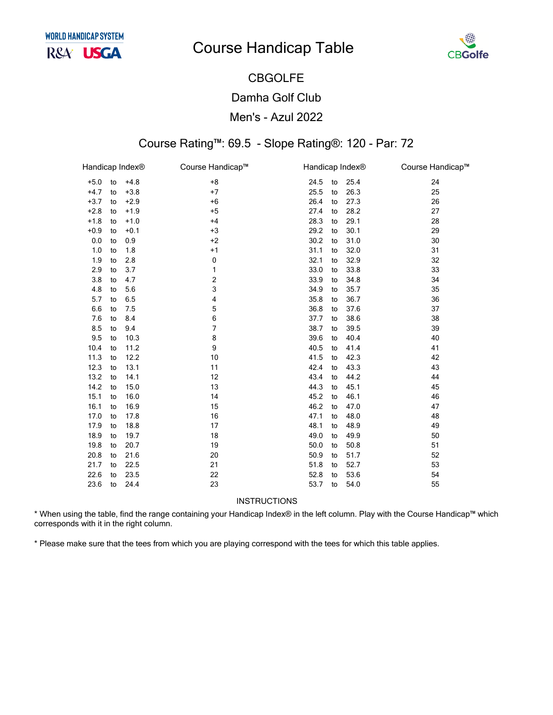

## CBGOLFE Damha Golf Club Men's - Azul 2022

### Course Rating™: 69.5 - Slope Rating®: 120 - Par: 72

| Handicap Index <sup>®</sup> |    |        | Course Handicap™ |      | Handicap Index® |      | Course Handicap™ |
|-----------------------------|----|--------|------------------|------|-----------------|------|------------------|
| $+5.0$                      | to | $+4.8$ | $+8$             | 24.5 | to              | 25.4 | 24               |
| $+4.7$                      | to | $+3.8$ | $+7$             | 25.5 | to              | 26.3 | 25               |
| $+3.7$                      | to | $+2.9$ | $+6$             | 26.4 | to              | 27.3 | 26               |
| $+2.8$                      | to | $+1.9$ | $+5$             | 27.4 | to              | 28.2 | 27               |
| $+1.8$                      | to | $+1.0$ | $+4$             | 28.3 | to              | 29.1 | 28               |
| $+0.9$                      | to | $+0.1$ | $+3$             | 29.2 | to              | 30.1 | 29               |
| 0.0                         | to | 0.9    | $+2$             | 30.2 | to              | 31.0 | 30               |
| 1.0                         | to | 1.8    | $+1$             | 31.1 | to              | 32.0 | 31               |
| 1.9                         | to | 2.8    | $\pmb{0}$        | 32.1 | to              | 32.9 | 32               |
| 2.9                         | to | 3.7    | 1                | 33.0 | to              | 33.8 | 33               |
| 3.8                         | to | 4.7    | 2                | 33.9 | to              | 34.8 | 34               |
| 4.8                         | to | 5.6    | 3                | 34.9 | to              | 35.7 | 35               |
| 5.7                         | to | 6.5    | 4                | 35.8 | to              | 36.7 | 36               |
| 6.6                         | to | 7.5    | 5                | 36.8 | to              | 37.6 | 37               |
| 7.6                         | to | 8.4    | 6                | 37.7 | to              | 38.6 | 38               |
| 8.5                         | to | 9.4    | 7                | 38.7 | to              | 39.5 | 39               |
| 9.5                         | to | 10.3   | 8                | 39.6 | to              | 40.4 | 40               |
| 10.4                        | to | 11.2   | 9                | 40.5 | to              | 41.4 | 41               |
| 11.3                        | to | 12.2   | 10               | 41.5 | to              | 42.3 | 42               |
| 12.3                        | to | 13.1   | 11               | 42.4 | to              | 43.3 | 43               |
| 13.2                        | to | 14.1   | 12               | 43.4 | to              | 44.2 | 44               |
| 14.2                        | to | 15.0   | 13               | 44.3 | to              | 45.1 | 45               |
| 15.1                        | to | 16.0   | 14               | 45.2 | to              | 46.1 | 46               |
| 16.1                        | to | 16.9   | 15               | 46.2 | to              | 47.0 | 47               |
| 17.0                        | to | 17.8   | 16               | 47.1 | to              | 48.0 | 48               |
| 17.9                        | to | 18.8   | 17               | 48.1 | to              | 48.9 | 49               |
| 18.9                        | to | 19.7   | 18               | 49.0 | to              | 49.9 | 50               |
| 19.8                        | to | 20.7   | 19               | 50.0 | to              | 50.8 | 51               |
| 20.8                        | to | 21.6   | 20               | 50.9 | to              | 51.7 | 52               |
| 21.7                        | to | 22.5   | 21               | 51.8 | to              | 52.7 | 53               |
| 22.6                        | to | 23.5   | 22               | 52.8 | to              | 53.6 | 54               |
| 23.6                        | to | 24.4   | 23               | 53.7 | to              | 54.0 | 55               |

**INSTRUCTIONS** 

\* When using the table, find the range containing your Handicap Index® in the left column. Play with the Course Handicap™ which corresponds with it in the right column.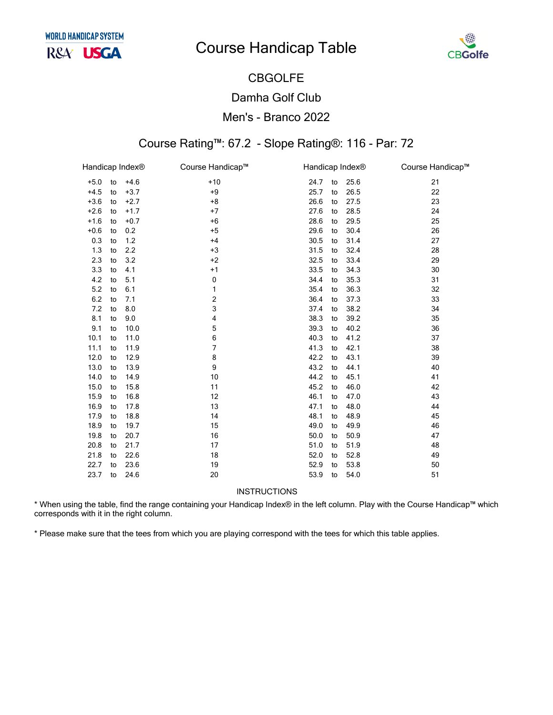

## CBGOLFE Damha Golf Club Men's - Branco 2022

### Course Rating™: 67.2 - Slope Rating®: 116 - Par: 72

| Handicap Index® |    |        | Course Handicap™ |      | Handicap Index® |      | Course Handicap™ |
|-----------------|----|--------|------------------|------|-----------------|------|------------------|
| $+5.0$          | to | $+4.6$ | $+10$            | 24.7 | to              | 25.6 | 21               |
| $+4.5$          | to | $+3.7$ | $+9$             | 25.7 | to              | 26.5 | 22               |
| $+3.6$          | to | $+2.7$ | $+8$             | 26.6 | to              | 27.5 | 23               |
| $+2.6$          | to | $+1.7$ | $+7$             | 27.6 | to              | 28.5 | 24               |
| $+1.6$          | to | $+0.7$ | $+6$             | 28.6 | to              | 29.5 | 25               |
| $+0.6$          | to | 0.2    | $+5$             | 29.6 | to              | 30.4 | 26               |
| 0.3             | to | 1.2    | $+4$             | 30.5 | to              | 31.4 | 27               |
| 1.3             | to | 2.2    | $+3$             | 31.5 | to              | 32.4 | 28               |
| 2.3             | to | 3.2    | $+2$             | 32.5 | to              | 33.4 | 29               |
| 3.3             | to | 4.1    | $+1$             | 33.5 | to              | 34.3 | 30               |
| 4.2             | to | 5.1    | 0                | 34.4 | to              | 35.3 | 31               |
| 5.2             | to | 6.1    | 1                | 35.4 | to              | 36.3 | 32               |
| 6.2             | to | 7.1    | 2                | 36.4 | to              | 37.3 | 33               |
| 7.2             | to | 8.0    | 3                | 37.4 | to              | 38.2 | 34               |
| 8.1             | to | 9.0    | 4                | 38.3 | to              | 39.2 | 35               |
| 9.1             | to | 10.0   | 5                | 39.3 | to              | 40.2 | 36               |
| 10.1            | to | 11.0   | 6                | 40.3 | to              | 41.2 | 37               |
| 11.1            | to | 11.9   | 7                | 41.3 | to              | 42.1 | 38               |
| 12.0            | to | 12.9   | 8                | 42.2 | to              | 43.1 | 39               |
| 13.0            | to | 13.9   | 9                | 43.2 | to              | 44.1 | 40               |
| 14.0            | to | 14.9   | 10               | 44.2 | to              | 45.1 | 41               |
| 15.0            | to | 15.8   | 11               | 45.2 | to              | 46.0 | 42               |
| 15.9            | to | 16.8   | 12               | 46.1 | to              | 47.0 | 43               |
| 16.9            | to | 17.8   | 13               | 47.1 | to              | 48.0 | 44               |
| 17.9            | to | 18.8   | 14               | 48.1 | to              | 48.9 | 45               |
| 18.9            | to | 19.7   | 15               | 49.0 | to              | 49.9 | 46               |
| 19.8            | to | 20.7   | 16               | 50.0 | to              | 50.9 | 47               |
| 20.8            | to | 21.7   | 17               | 51.0 | to              | 51.9 | 48               |
| 21.8            | to | 22.6   | 18               | 52.0 | to              | 52.8 | 49               |
| 22.7            | to | 23.6   | 19               | 52.9 | to              | 53.8 | 50               |
| 23.7            | to | 24.6   | 20               | 53.9 | to              | 54.0 | 51               |
|                 |    |        |                  |      |                 |      |                  |

INSTRUCTIONS

\* When using the table, find the range containing your Handicap Index® in the left column. Play with the Course Handicap™ which corresponds with it in the right column.